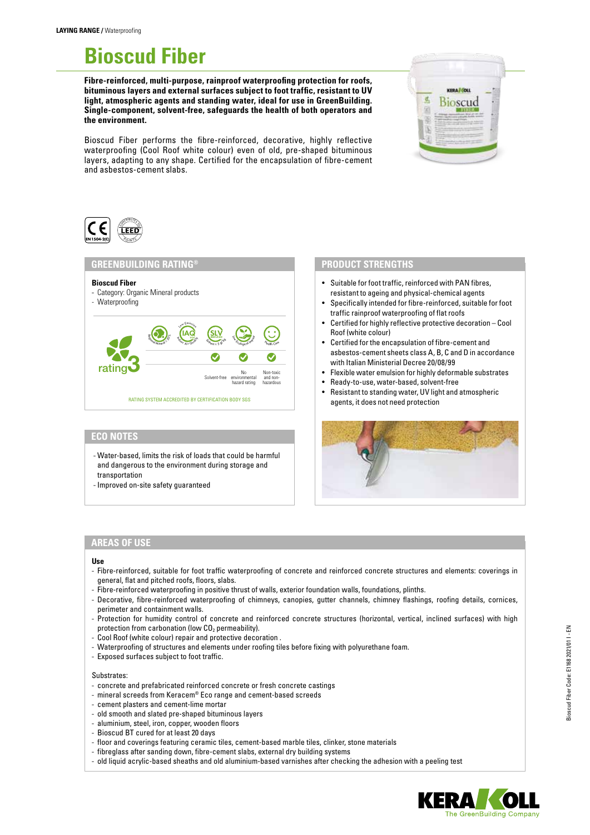# **Bioscud Fiber**

**Fibre-reinforced, multi-purpose, rainproof waterproofing protection for roofs, bituminous layers and external surfaces subject to foot traffic, resistant to UV light, atmospheric agents and standing water, ideal for use in GreenBuilding. Single-component, solvent-free, safeguards the health of both operators and the environment.**

Bioscud Fiber performs the fibre-reinforced, decorative, highly reflective waterproofing (Cool Roof white colour) even of old, pre-shaped bituminous layers, adapting to any shape. Certified for the encapsulation of fibre-cement and asbestos-cement slabs.





#### **Bioscud Fiber** - Category: Organic Mineral products - Waterproofing **BATING SYSTEM ACCREDITED BY CERTIFICATION BODY SGS GREENBUILDING RATING®** rating Regional Police  $\left(\underset{\scriptscriptstyle A_i\in\mathcal{A}}{\text{IAG}}\right)$ Low Emission  $s_{k_{\text{long}}} \leq 5 \text{ g/s}$  $\text{SLV}$  Reduced Inpact  $\sum_{n=1}^{\infty}$ <sup>H</sup><sup>e</sup>alt<sup>h</sup> <sup>C</sup>ar<sup>e</sup> Solvent-free No environmental hazard rating Non-toxic and non-hazardous

# **ECO NOTES**

- Water-based, limits the risk of loads that could be harmful and dangerous to the environment during storage and transportation
- Improved on-site safety guaranteed

## **PRODUCT STRENGTHS**

- Suitable for foot traffic, reinforced with PAN fibres, resistant to ageing and physical-chemical agents
- Specifically intended for fibre-reinforced, suitable for foot traffic rainproof waterproofing of flat roofs
- Certified for highly reflective protective decoration Cool Roof (white colour)
- Certified for the encapsulation of fibre-cement and asbestos-cement sheets class A, B, C and D in accordance with Italian Ministerial Decree 20/08/99
- Flexible water emulsion for highly deformable substrates
- Ready-to-use, water-based, solvent-free
- Resistant to standing water, UV light and atmospheric agents, it does not need protection



# **AREAS OF USE**

#### **Use**

- Fibre-reinforced, suitable for foot traffic waterproofing of concrete and reinforced concrete structures and elements: coverings in general, flat and pitched roofs, floors, slabs.
- Fibre-reinforced waterproofing in positive thrust of walls, exterior foundation walls, foundations, plinths.
- Decorative, fibre-reinforced waterproofing of chimneys, canopies, gutter channels, chimney flashings, roofing details, cornices, perimeter and containment walls.
- Protection for humidity control of concrete and reinforced concrete structures (horizontal, vertical, inclined surfaces) with high protection from carbonation (low  $CO<sub>2</sub>$  permeability).
- Cool Roof (white colour) repair and protective decoration .
- Waterproofing of structures and elements under roofing tiles before fixing with polyurethane foam.
- Exposed surfaces subject to foot traffic.

#### Substrates:

- concrete and prefabricated reinforced concrete or fresh concrete castings
- mineral screeds from Keracem® Eco range and cement-based screeds
- cement plasters and cement-lime mortar
- old smooth and slated pre-shaped bituminous layers
- aluminium, steel, iron, copper, wooden floors
- Bioscud BT cured for at least 20 days
- floor and coverings featuring ceramic tiles, cement-based marble tiles, clinker, stone materials
- fibreglass after sanding down, fibre-cement slabs, external dry building systems
- old liquid acrylic-based sheaths and old aluminium-based varnishes after checking the adhesion with a peeling test

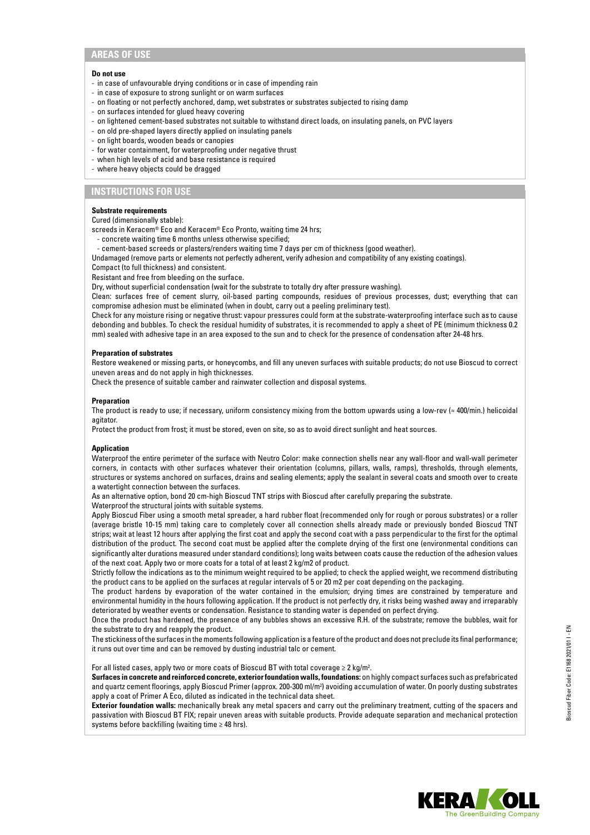# **AREAS OF USE**

#### **Do not use**

- in case of unfavourable drying conditions or in case of impending rain
- in case of exposure to strong sunlight or on warm surfaces
- on floating or not perfectly anchored, damp, wet substrates or substrates subjected to rising damp
- on surfaces intended for glued heavy covering
- on lightened cement-based substrates not suitable to withstand direct loads, on insulating panels, on PVC layers
- on old pre-shaped layers directly applied on insulating panels
- on light boards, wooden beads or canopies
- for water containment, for waterproofing under negative thrust
- when high levels of acid and base resistance is required
- where heavy objects could be dragged

# **INSTRUCTIONS FOR USE**

#### **Substrate requirements**

Cured (dimensionally stable):

screeds in Keracem® Eco and Keracem® Eco Pronto, waiting time 24 hrs;

- concrete waiting time 6 months unless otherwise specified;
- cement-based screeds or plasters/renders waiting time 7 days per cm of thickness (good weather).
- Undamaged (remove parts or elements not perfectly adherent, verify adhesion and compatibility of any existing coatings).

Compact (to full thickness) and consistent.

Resistant and free from bleeding on the surface.

Dry, without superficial condensation (wait for the substrate to totally dry after pressure washing).

Clean: surfaces free of cement slurry, oil-based parting compounds, residues of previous processes, dust; everything that can compromise adhesion must be eliminated (when in doubt, carry out a peeling preliminary test).

Check for any moisture rising or negative thrust: vapour pressures could form at the substrate-waterproofing interface such as to cause debonding and bubbles. To check the residual humidity of substrates, it is recommended to apply a sheet of PE (minimum thickness 0.2 mm) sealed with adhesive tape in an area exposed to the sun and to check for the presence of condensation after 24-48 hrs.

#### **Preparation of substrates**

Restore weakened or missing parts, or honeycombs, and fill any uneven surfaces with suitable products; do not use Bioscud to correct uneven areas and do not apply in high thicknesses.

Check the presence of suitable camber and rainwater collection and disposal systems.

#### **Preparation**

The product is ready to use; if necessary, uniform consistency mixing from the bottom upwards using a low-rev (≈ 400/min.) helicoidal agitator.

Protect the product from frost; it must be stored, even on site, so as to avoid direct sunlight and heat sources.

#### **Application**

Waterproof the entire perimeter of the surface with Neutro Color: make connection shells near any wall-floor and wall-wall perimeter corners, in contacts with other surfaces whatever their orientation (columns, pillars, walls, ramps), thresholds, through elements, structures or systems anchored on surfaces, drains and sealing elements; apply the sealant in several coats and smooth over to create a watertight connection between the surfaces.

As an alternative option, bond 20 cm-high Bioscud TNT strips with Bioscud after carefully preparing the substrate.

Waterproof the structural joints with suitable systems.

Apply Bioscud Fiber using a smooth metal spreader, a hard rubber float (recommended only for rough or porous substrates) or a roller (average bristle 10-15 mm) taking care to completely cover all connection shells already made or previously bonded Bioscud TNT strips; wait at least 12 hours after applying the first coat and apply the second coat with a pass perpendicular to the first for the optimal distribution of the product. The second coat must be applied after the complete drying of the first one (environmental conditions can significantly alter durations measured under standard conditions); long waits between coats cause the reduction of the adhesion values of the next coat. Apply two or more coats for a total of at least 2 kg/m2 of product.

Strictly follow the indications as to the minimum weight required to be applied; to check the applied weight, we recommend distributing the product cans to be applied on the surfaces at regular intervals of 5 or 20 m2 per coat depending on the packaging.

The product hardens by evaporation of the water contained in the emulsion; drying times are constrained by temperature and environmental humidity in the hours following application. If the product is not perfectly dry, it risks being washed away and irreparably deteriorated by weather events or condensation. Resistance to standing water is depended on perfect drying.

Once the product has hardened, the presence of any bubbles shows an excessive R.H. of the substrate; remove the bubbles, wait for the substrate to dry and reapply the product.

The stickiness of the surfaces in the moments following application is a feature of the product and does not preclude its final performance; it runs out over time and can be removed by dusting industrial talc or cement.

For all listed cases, apply two or more coats of Bioscud BT with total coverage  $\geq 2$  kg/m<sup>2</sup>.

**Surfaces in concrete and reinforced concrete, exterior foundation walls, foundations:** on highly compact surfaces such as prefabricated and quartz cement floorings, apply Bioscud Primer (approx. 200-300 ml/m2 ) avoiding accumulation of water. On poorly dusting substrates apply a coat of Primer A Eco, diluted as indicated in the technical data sheet.

**Exterior foundation walls:** mechanically break any metal spacers and carry out the preliminary treatment, cutting of the spacers and passivation with Bioscud BT FIX; repair uneven areas with suitable products. Provide adequate separation and mechanical protection systems before backfilling (waiting time ≥ 48 hrs).

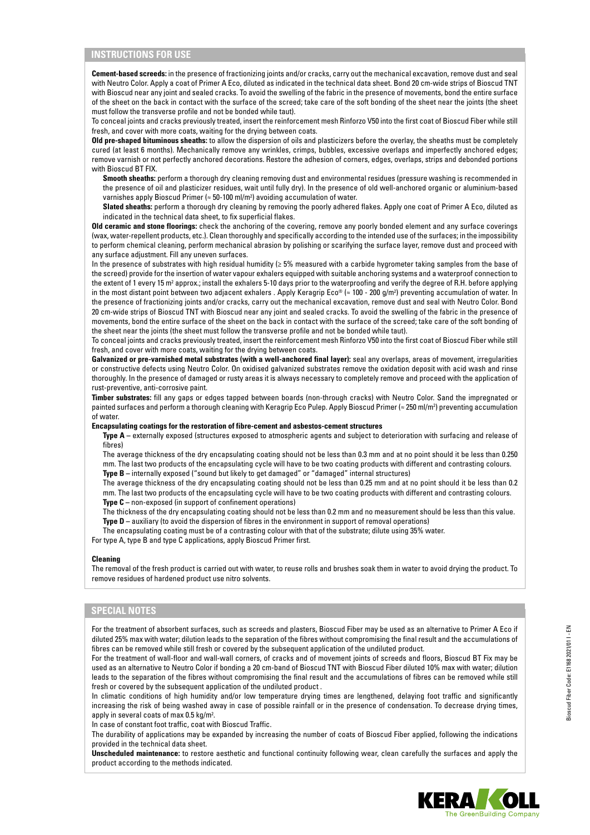# **INSTRUCTIONS FOR USE**

**Cement-based screeds:** in the presence of fractionizing joints and/or cracks, carry out the mechanical excavation, remove dust and seal with Neutro Color. Apply a coat of Primer A Eco, diluted as indicated in the technical data sheet. Bond 20 cm-wide strips of Bioscud TNT with Bioscud near any joint and sealed cracks. To avoid the swelling of the fabric in the presence of movements, bond the entire surface of the sheet on the back in contact with the surface of the screed; take care of the soft bonding of the sheet near the joints (the sheet must follow the transverse profile and not be bonded while taut).

To conceal joints and cracks previously treated, insert the reinforcement mesh Rinforzo V50 into the first coat of Bioscud Fiber while still fresh, and cover with more coats, waiting for the drying between coats.

**Old pre-shaped bituminous sheaths:** to allow the dispersion of oils and plasticizers before the overlay, the sheaths must be completely cured (at least 6 months). Mechanically remove any wrinkles, crimps, bubbles, excessive overlaps and imperfectly anchored edges; remove varnish or not perfectly anchored decorations. Restore the adhesion of corners, edges, overlaps, strips and debonded portions with Bioscud BT FIX.

**Smooth sheaths:** perform a thorough dry cleaning removing dust and environmental residues (pressure washing is recommended in the presence of oil and plasticizer residues, wait until fully dry). In the presence of old well-anchored organic or aluminium-based varnishes apply Bioscud Primer ( $\approx$  50-100 ml/m<sup>2</sup>) avoiding accumulation of water.

**Slated sheaths:** perform a thorough dry cleaning by removing the poorly adhered flakes. Apply one coat of Primer A Eco, diluted as indicated in the technical data sheet, to fix superficial flakes.

**Old ceramic and stone floorings:** check the anchoring of the covering, remove any poorly bonded element and any surface coverings (wax, water-repellent products, etc.). Clean thoroughly and specifically according to the intended use of the surfaces; in the impossibility to perform chemical cleaning, perform mechanical abrasion by polishing or scarifying the surface layer, remove dust and proceed with any surface adjustment. Fill any uneven surfaces.

In the presence of substrates with high residual humidity (≥ 5% measured with a carbide hygrometer taking samples from the base of the screed) provide for the insertion of water vapour exhalers equipped with suitable anchoring systems and a waterproof connection to the extent of 1 every 15 m² approx.; install the exhalers 5-10 days prior to the waterproofing and verify the degree of R.H. before applying in the most distant point between two adjacent exhalers . Apply Keragrip Eco® (≈ 100 - 200 g/m2 ) preventing accumulation of water. In the presence of fractionizing joints and/or cracks, carry out the mechanical excavation, remove dust and seal with Neutro Color. Bond 20 cm-wide strips of Bioscud TNT with Bioscud near any joint and sealed cracks. To avoid the swelling of the fabric in the presence of movements, bond the entire surface of the sheet on the back in contact with the surface of the screed; take care of the soft bonding of the sheet near the joints (the sheet must follow the transverse profile and not be bonded while taut).

To conceal joints and cracks previously treated, insert the reinforcement mesh Rinforzo V50 into the first coat of Bioscud Fiber while still fresh, and cover with more coats, waiting for the drying between coats.

Galvanized or pre-varnished metal substrates (with a well-anchored final layer): seal any overlaps, areas of movement, irregularities or constructive defects using Neutro Color. On oxidised galvanized substrates remove the oxidation deposit with acid wash and rinse thoroughly. In the presence of damaged or rusty areas it is always necessary to completely remove and proceed with the application of rust-preventive, anti-corrosive paint.

**Timber substrates:** fill any gaps or edges tapped between boards (non-through cracks) with Neutro Color. Sand the impregnated or painted surfaces and perform a thorough cleaning with Keragrip Eco Pulep. Apply Bioscud Primer (≈ 250 ml/m²) preventing accumulation of water.

#### **Encapsulating coatings for the restoration of fibre-cement and asbestos-cement structures**

**Type A –** externally exposed (structures exposed to atmospheric agents and subject to deterioration with surfacing and release of fibres)

The average thickness of the dry encapsulating coating should not be less than 0.3 mm and at no point should it be less than 0.250 mm. The last two products of the encapsulating cycle will have to be two coating products with different and contrasting colours. **Type B –** internally exposed ("sound but likely to get damaged" or "damaged" internal structures)

The average thickness of the dry encapsulating coating should not be less than 0.25 mm and at no point should it be less than 0.2 mm. The last two products of the encapsulating cycle will have to be two coating products with different and contrasting colours. **Type C –** non-exposed (in support of confinement operations)

The thickness of the dry encapsulating coating should not be less than 0.2 mm and no measurement should be less than this value. **Type D –** auxiliary (to avoid the dispersion of fibres in the environment in support of removal operations)

The encapsulating coating must be of a contrasting colour with that of the substrate; dilute using 35% water.

For type A, type B and type C applications, apply Bioscud Primer first.

#### **Cleaning**

The removal of the fresh product is carried out with water, to reuse rolls and brushes soak them in water to avoid drying the product. To remove residues of hardened product use nitro solvents.

# **SPECIAL NOTES**

For the treatment of absorbent surfaces, such as screeds and plasters, Bioscud Fiber may be used as an alternative to Primer A Eco if diluted 25% max with water; dilution leads to the separation of the fibres without compromising the final result and the accumulations of fibres can be removed while still fresh or covered by the subsequent application of the undiluted product.

For the treatment of wall-floor and wall-wall corners, of cracks and of movement joints of screeds and floors, Bioscud BT Fix may be used as an alternative to Neutro Color if bonding a 20 cm-band of Bioscud TNT with Bioscud Fiber diluted 10% max with water; dilution leads to the separation of the fibres without compromising the final result and the accumulations of fibres can be removed while still fresh or covered by the subsequent application of the undiluted product .

In climatic conditions of high humidity and/or low temperature drying times are lengthened, delaying foot traffic and significantly increasing the risk of being washed away in case of possible rainfall or in the presence of condensation. To decrease drying times, apply in several coats of max 0.5 kg/m<sup>2</sup>.

In case of constant foot traffic, coat with Bioscud Traffic.

The durability of applications may be expanded by increasing the number of coats of Bioscud Fiber applied, following the indications provided in the technical data sheet.

**Unscheduled maintenance:** to restore aesthetic and functional continuity following wear, clean carefully the surfaces and apply the product according to the methods indicated.

Bioscud Fiber Code: E1168 2021/01 I - EN

Sioscud Fiber Code: E1168 2021/01 I - EN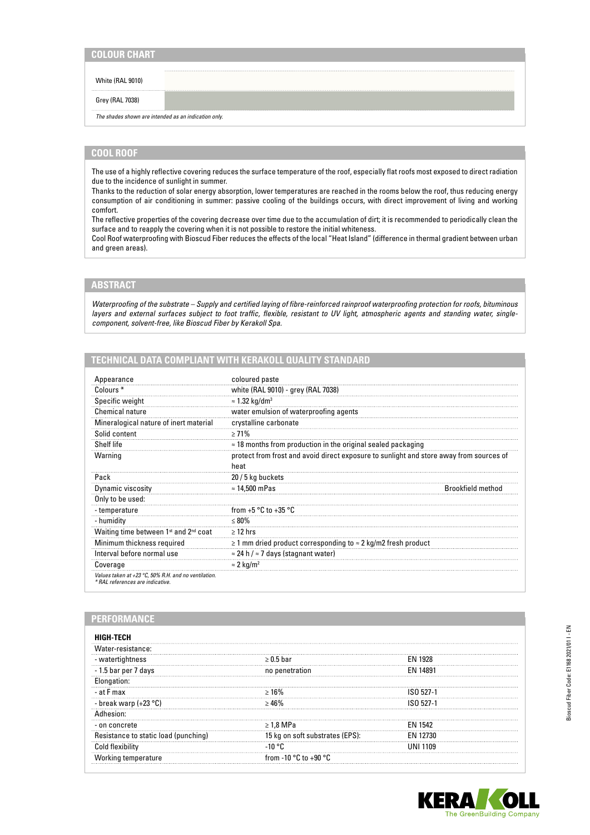## White (RAL 9010)

Grey (RAL 7038)

*The shades shown are intended as an indication only.*

# **COOL ROOF**

The use of a highly reflective covering reduces the surface temperature of the roof, especially flat roofs most exposed to direct radiation due to the incidence of sunlight in summer.

Thanks to the reduction of solar energy absorption, lower temperatures are reached in the rooms below the roof, thus reducing energy consumption of air conditioning in summer: passive cooling of the buildings occurs, with direct improvement of living and working comfort.

The reflective properties of the covering decrease over time due to the accumulation of dirt; it is recommended to periodically clean the surface and to reapply the covering when it is not possible to restore the initial whiteness.

Cool Roof waterproofing with Bioscud Fiber reduces the effects of the local "Heat Island" (difference in thermal gradient between urban and green areas).

# **ABSTRACT**

*Waterproofing of the substrate – Supply and certified laying of fibre-reinforced rainproof waterproofing protection for roofs, bituminous layers and external surfaces subject to foot traffic, flexible, resistant to UV light, atmospheric agents and standing water, singlecomponent, solvent-free, like Bioscud Fiber by Kerakoll Spa.*

# **TECHNICAL DATA COMPLIANT WITH KERAKOLL QUALITY STANDARD**

| Appearance                                                                               | coloured paste                                                                                  |                          |
|------------------------------------------------------------------------------------------|-------------------------------------------------------------------------------------------------|--------------------------|
| Colours <sup>*</sup>                                                                     | white (RAL 9010) - grey (RAL 7038)                                                              |                          |
| Specific weight                                                                          | $\approx$ 1.32 kg/dm <sup>3</sup>                                                               |                          |
| <b>Chemical nature</b>                                                                   | water emulsion of waterproofing agents                                                          |                          |
| Mineralogical nature of inert material                                                   | crystalline carbonate                                                                           |                          |
| Solid content                                                                            | $> 71\%$                                                                                        |                          |
| Shelf life                                                                               | $\approx$ 18 months from production in the original sealed packaging                            |                          |
| Warning                                                                                  | protect from frost and avoid direct exposure to sunlight and store away from sources of<br>heat |                          |
| Pack                                                                                     | 20 / 5 kg buckets                                                                               |                          |
| Dynamic viscosity                                                                        | $\approx$ 14,500 mPas                                                                           | <b>Brookfield method</b> |
| Only to be used:                                                                         |                                                                                                 |                          |
| - temperature                                                                            | from $+5 °C$ to $+35 °C$                                                                        |                          |
| - humidity                                                                               | $\leq 80\%$                                                                                     |                          |
| Waiting time between 1st and 2nd coat                                                    | $\geq$ 12 hrs                                                                                   |                          |
| Minimum thickness required                                                               | $\geq$ 1 mm dried product corresponding to $\approx$ 2 kg/m2 fresh product                      |                          |
| Interval before normal use                                                               | $\approx$ 24 h / $\approx$ 7 days (stagnant water)                                              |                          |
| Coverage                                                                                 | $\approx$ 2 kg/m <sup>2</sup>                                                                   |                          |
| Values taken at +23 °C, 50% R.H. and no ventilation.<br>* RAL references are indicative. |                                                                                                 |                          |

# **PERFORMANCE**

| HIGH-TECH                            |                                           |                |
|--------------------------------------|-------------------------------------------|----------------|
| Water-resistance:                    |                                           |                |
| - watertightness                     | $> 0.5$ har                               | <b>FN 1928</b> |
| - 1.5 bar per 7 days                 | no penetration                            |                |
| Elongation:                          |                                           |                |
| - at F max                           | $>16\%$                                   | , 527.1        |
| - break warp (+23 °C)                |                                           | 1527-1         |
| thesion:                             |                                           |                |
| - on concrete                        | $\geq 1.8$ MPa                            | <b>FN 1542</b> |
| Resistance to static load (punching) | 15 kg on soft substrates (EPS):           | EN 12730       |
| Cold flexibility                     | $-10$ °C                                  | UNI 1109       |
| Working temperature                  | from -10 $^{\circ}$ C to +90 $^{\circ}$ C |                |



**KERA**  $\sqrt{0}$ The GreenBuilding Company